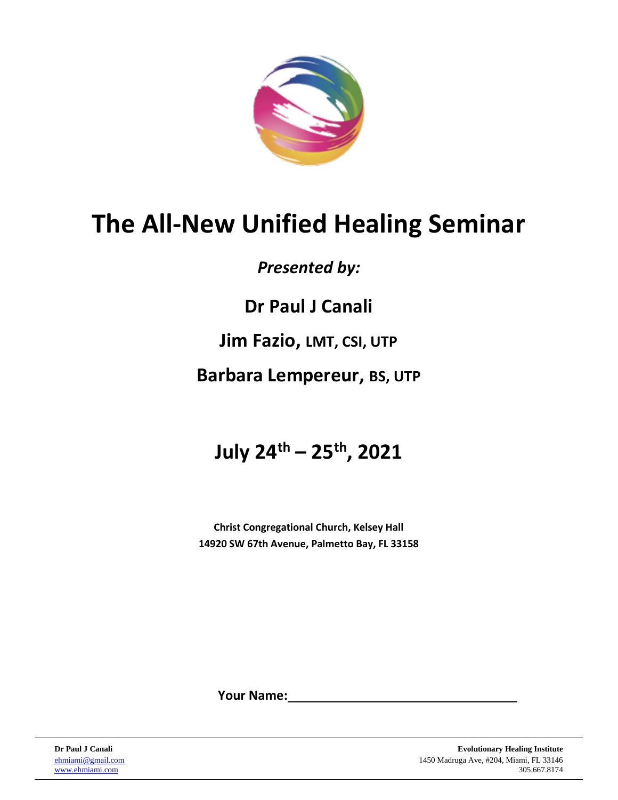

# **The All-New Unified Healing Seminar**

## *Presented by:*

**Dr Paul J Canali**

## **Jim Fazio, LMT, CSI, UTP**

## **Barbara Lempereur, BS, UTP**

# **July 24th – 25th, 2021**

**Christ Congregational Church, Kelsey Hall 14920 SW 67th Avenue, Palmetto Bay, FL 33158**

**Your Name:**

**Dr Paul J Canali Evolutionary Healing Institute** [ehmiami@gmail.com](mailto:ehmiami@gmail.com) 1450 Madruga Ave, #204, Miami, FL 33146 [www.ehmiami.com](http://www.ehmiami.com/) 305.667.8174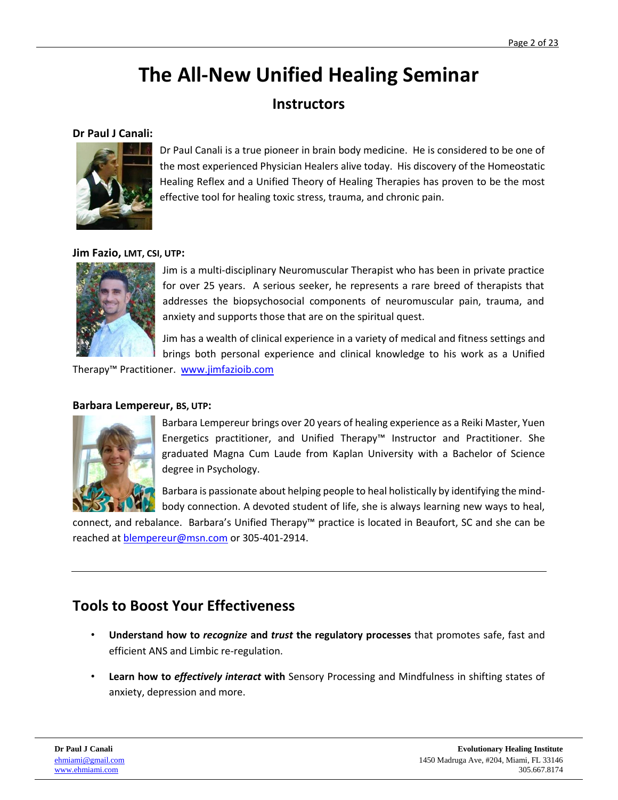## **The All-New Unified Healing Seminar**

### **Instructors**

#### **Dr Paul J Canali:**



Dr Paul Canali is a true pioneer in brain body medicine. He is considered to be one of the most experienced Physician Healers alive today. His discovery of the Homeostatic Healing Reflex and a Unified Theory of Healing Therapies has proven to be the most effective tool for healing toxic stress, trauma, and chronic pain.

#### **Jim Fazio, LMT, CSI, UTP:**



Jim is a multi-disciplinary Neuromuscular Therapist who has been in private practice for over 25 years. A serious seeker, he represents a rare breed of therapists that addresses the biopsychosocial components of neuromuscular pain, trauma, and anxiety and supports those that are on the spiritual quest.

Jim has a wealth of clinical experience in a variety of medical and fitness settings and brings both personal experience and clinical knowledge to his work as a Unified

Therapy™ Practitioner. [www.jimfazioib.com](http://www.jimfazioib.com/)

#### **Barbara Lempereur, BS, UTP:**



Barbara Lempereur brings over 20 years of healing experience as a Reiki Master, Yuen Energetics practitioner, and Unified Therapy™ Instructor and Practitioner. She graduated Magna Cum Laude from Kaplan University with a Bachelor of Science degree in Psychology.

Barbara is passionate about helping people to heal holistically by identifying the mindbody connection. A devoted student of life, she is always learning new ways to heal,

connect, and rebalance. Barbara's Unified Therapy™ practice is located in Beaufort, SC and she can be reached at [blempereur@msn.com](mailto:blempereur@msn.com) or 305-401-2914.

### **Tools to Boost Your Effectiveness**

- **Understand how to** *recognize* **and** *trust* **the regulatory processes** that promotes safe, fast and efficient ANS and Limbic re-regulation.
- **Learn how to** *effectively interact* **with** Sensory Processing and Mindfulness in shifting states of anxiety, depression and more.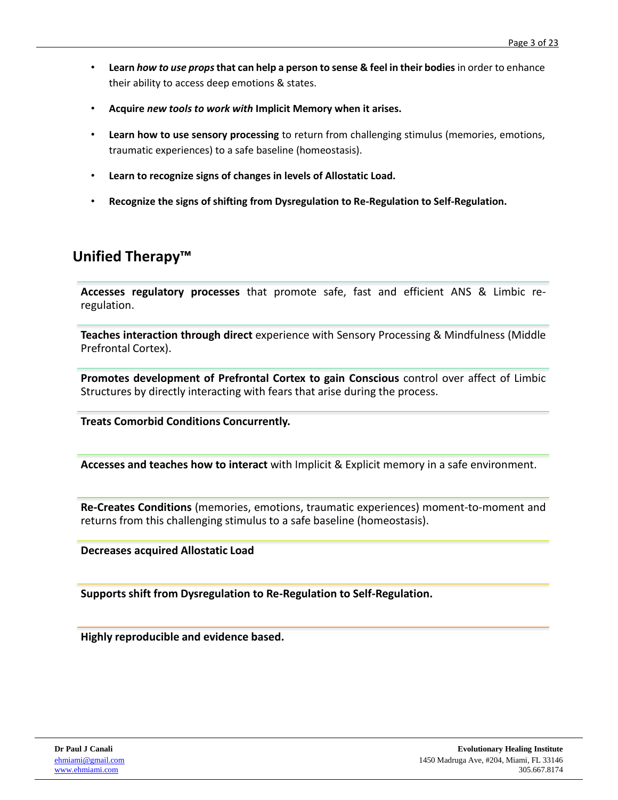- **Learn** *how to use props* **that can help a person to sense & feel in their bodies** in order to enhance their ability to access deep emotions & states.
- **Acquire** *new tools to work with* **Implicit Memory when it arises.**
- **Learn how to use sensory processing** to return from challenging stimulus (memories, emotions, traumatic experiences) to a safe baseline (homeostasis).
- **Learn to recognize signs of changes in levels of Allostatic Load.**
- **Recognize the signs of shifting from Dysregulation to Re-Regulation to Self-Regulation.**

### **Unified Therapy™**

**Accesses regulatory processes** that promote safe, fast and efficient ANS & Limbic reregulation.

**Teaches interaction through direct** experience with Sensory Processing & Mindfulness (Middle Prefrontal Cortex).

**Promotes development of Prefrontal Cortex to gain Conscious** control over affect of Limbic Structures by directly interacting with fears that arise during the process.

**Treats Comorbid Conditions Concurrently.**

**Accesses and teaches how to interact** with Implicit & Explicit memory in a safe environment.

**Re-Creates Conditions** (memories, emotions, traumatic experiences) moment-to-moment and returns from this challenging stimulus to a safe baseline (homeostasis).

**Decreases acquired Allostatic Load**

**Supports shift from Dysregulation to Re-Regulation to Self-Regulation.**

**Highly reproducible and evidence based.**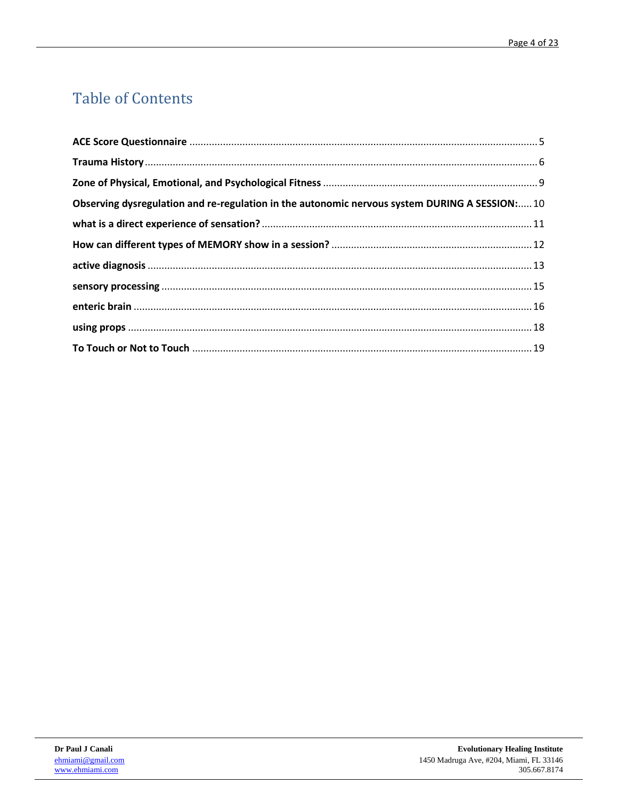## **Table of Contents**

| Observing dysregulation and re-regulation in the autonomic nervous system DURING A SESSION:10 |  |
|-----------------------------------------------------------------------------------------------|--|
|                                                                                               |  |
|                                                                                               |  |
|                                                                                               |  |
|                                                                                               |  |
|                                                                                               |  |
|                                                                                               |  |
|                                                                                               |  |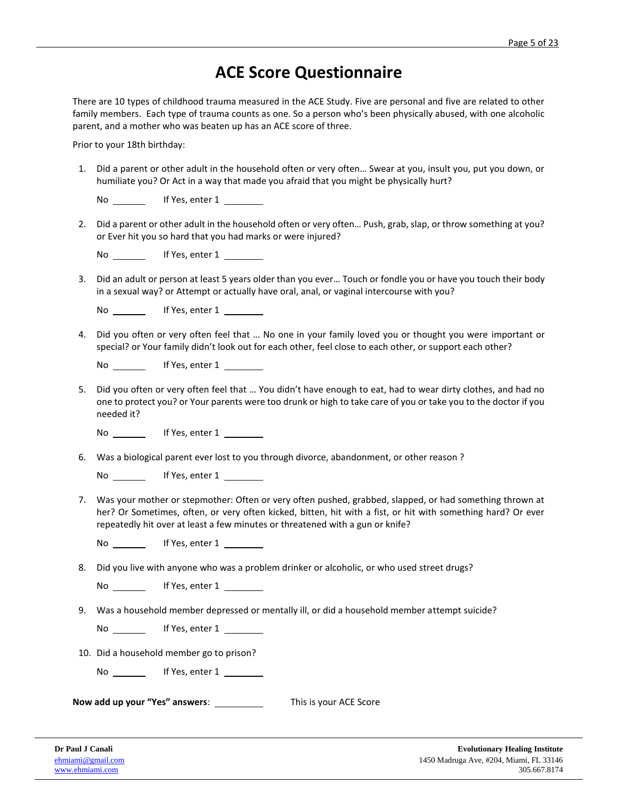### **ACE Score Questionnaire**

<span id="page-4-0"></span>There are 10 types of childhood trauma measured in the ACE Study. Five are personal and five are related to other family members. Each type of trauma counts as one. So a person who's been physically abused, with one alcoholic parent, and a mother who was beaten up has an ACE score of three.

Prior to your 18th birthday:

- 1. Did a parent or other adult in the household often or very often… Swear at you, insult you, put you down, or humiliate you? Or Act in a way that made you afraid that you might be physically hurt?
	- No If Yes, enter 1
- 2. Did a parent or other adult in the household often or very often… Push, grab, slap, or throw something at you? or Ever hit you so hard that you had marks or were injured?

| No | If Yes, enter 1 |  |
|----|-----------------|--|
|    |                 |  |

3. Did an adult or person at least 5 years older than you ever… Touch or fondle you or have you touch their body in a sexual way? or Attempt or actually have oral, anal, or vaginal intercourse with you?

| No | If Yes, enter 1 |  |
|----|-----------------|--|
|    |                 |  |

4. Did you often or very often feel that … No one in your family loved you or thought you were important or special? or Your family didn't look out for each other, feel close to each other, or support each other?

No If Yes, enter 1

5. Did you often or very often feel that … You didn't have enough to eat, had to wear dirty clothes, and had no one to protect you? or Your parents were too drunk or high to take care of you or take you to the doctor if you needed it?

No If Yes, enter 1

6. Was a biological parent ever lost to you through divorce, abandonment, or other reason ?

No \_\_\_\_\_\_\_\_\_ If Yes, enter 1 \_\_\_\_

7. Was your mother or stepmother: Often or very often pushed, grabbed, slapped, or had something thrown at her? Or Sometimes, often, or very often kicked, bitten, hit with a fist, or hit with something hard? Or ever repeatedly hit over at least a few minutes or threatened with a gun or knife?

No **If Yes**, enter 1

8. Did you live with anyone who was a problem drinker or alcoholic, or who used street drugs?

No \_\_\_\_\_\_\_\_ If Yes, enter 1 \_\_

9. Was a household member depressed or mentally ill, or did a household member attempt suicide?

No If Yes, enter 1

10. Did a household member go to prison?

No If Yes, enter 1

**Now add up your "Yes" answers**: This is your ACE Score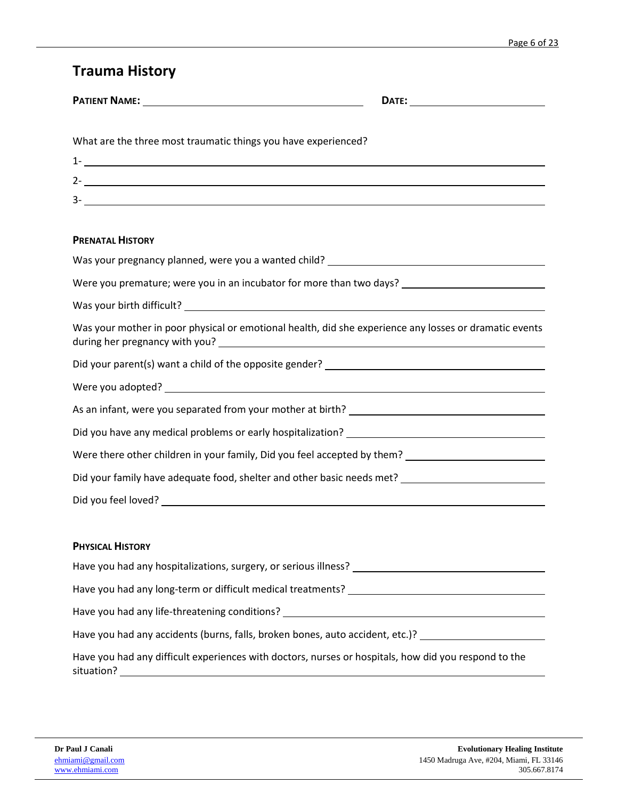### <span id="page-5-0"></span>**Trauma History**

| What are the three most traumatic things you have experienced?                                                                                                                                                                                                                                                       |
|----------------------------------------------------------------------------------------------------------------------------------------------------------------------------------------------------------------------------------------------------------------------------------------------------------------------|
| $1  \frac{1}{2}$ $\frac{1}{2}$ $\frac{1}{2}$ $\frac{1}{2}$ $\frac{1}{2}$ $\frac{1}{2}$ $\frac{1}{2}$ $\frac{1}{2}$ $\frac{1}{2}$ $\frac{1}{2}$ $\frac{1}{2}$ $\frac{1}{2}$ $\frac{1}{2}$ $\frac{1}{2}$ $\frac{1}{2}$ $\frac{1}{2}$ $\frac{1}{2}$ $\frac{1}{2}$ $\frac{1}{2}$ $\frac{1}{2}$ $\frac{1}{2}$ $\frac{1}{$ |
| 2- <sub>1</sub>                                                                                                                                                                                                                                                                                                      |
| $3 \overline{\phantom{a}}$                                                                                                                                                                                                                                                                                           |
| <b>PRENATAL HISTORY</b>                                                                                                                                                                                                                                                                                              |
| Was your pregnancy planned, were you a wanted child? ____________________________                                                                                                                                                                                                                                    |
| Were you premature; were you in an incubator for more than two days? _______________________________                                                                                                                                                                                                                 |
|                                                                                                                                                                                                                                                                                                                      |
| Was your mother in poor physical or emotional health, did she experience any losses or dramatic events                                                                                                                                                                                                               |
|                                                                                                                                                                                                                                                                                                                      |
|                                                                                                                                                                                                                                                                                                                      |
|                                                                                                                                                                                                                                                                                                                      |
|                                                                                                                                                                                                                                                                                                                      |
| Were there other children in your family, Did you feel accepted by them? ___________________________                                                                                                                                                                                                                 |
| Did your family have adequate food, shelter and other basic needs met? ____________________________                                                                                                                                                                                                                  |
|                                                                                                                                                                                                                                                                                                                      |
|                                                                                                                                                                                                                                                                                                                      |
| <b>PHYSICAL HISTORY</b>                                                                                                                                                                                                                                                                                              |
|                                                                                                                                                                                                                                                                                                                      |
|                                                                                                                                                                                                                                                                                                                      |
| Have you had any life-threatening conditions? __________________________________                                                                                                                                                                                                                                     |
| Have you had any accidents (burns, falls, broken bones, auto accident, etc.)?                                                                                                                                                                                                                                        |
| Have you had any difficult experiences with doctors, nurses or hospitals, how did you respond to the<br>situation?                                                                                                                                                                                                   |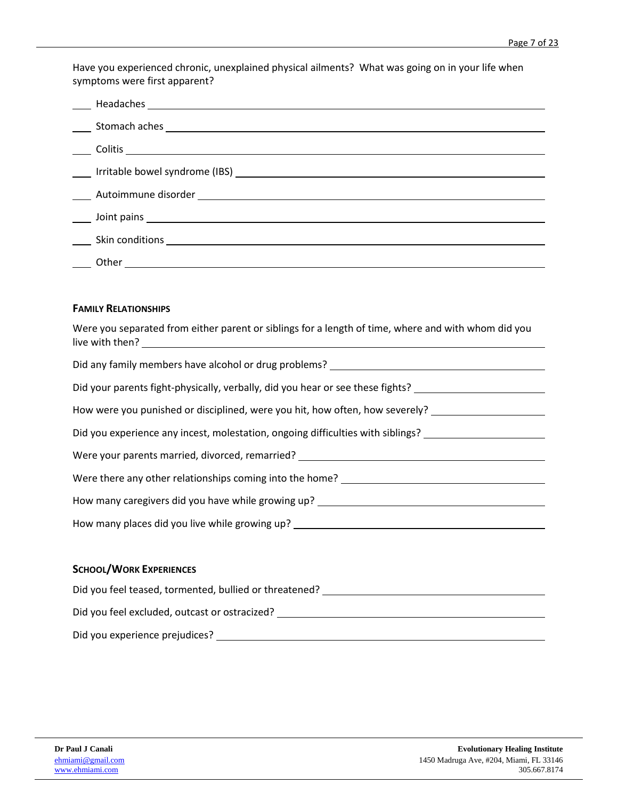Have you experienced chronic, unexplained physical ailments? What was going on in your life when symptoms were first apparent?

| Other<br><u> 1989 - Andrea Barbara, poeta espainiar político e a contrar a contrar a contrar a contrar a contrar a contra</u> |  |
|-------------------------------------------------------------------------------------------------------------------------------|--|

#### **FAMILY RELATIONSHIPS**

| Were you separated from either parent or siblings for a length of time, where and with whom did you |
|-----------------------------------------------------------------------------------------------------|
| Did any family members have alcohol or drug problems? __________________________                    |
| Did your parents fight-physically, verbally, did you hear or see these fights? ____________________ |
| How were you punished or disciplined, were you hit, how often, how severely?                        |
| Did you experience any incest, molestation, ongoing difficulties with siblings?                     |
| Were your parents married, divorced, remarried? ________________________________                    |
| Were there any other relationships coming into the home? _______________________                    |
| How many caregivers did you have while growing up? _____________________________                    |
| How many places did you live while growing up? _________________________________                    |
|                                                                                                     |

#### **SCHOOL/WORK EXPERIENCES**

| Did you feel teased, tormented, bullied or threatened? |  |
|--------------------------------------------------------|--|
| Did you feel excluded, outcast or ostracized?          |  |
| Did you experience prejudices?                         |  |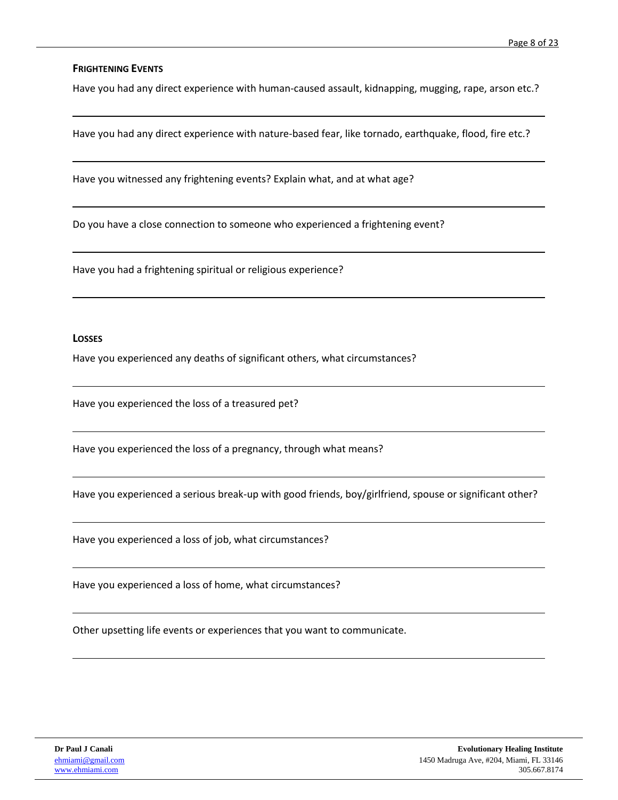#### **FRIGHTENING EVENTS**

Have you had any direct experience with human-caused assault, kidnapping, mugging, rape, arson etc.?

Have you had any direct experience with nature-based fear, like tornado, earthquake, flood, fire etc.?

Have you witnessed any frightening events? Explain what, and at what age?

Do you have a close connection to someone who experienced a frightening event?

Have you had a frightening spiritual or religious experience?

#### **LOSSES**

Have you experienced any deaths of significant others, what circumstances?

Have you experienced the loss of a treasured pet?

Have you experienced the loss of a pregnancy, through what means?

Have you experienced a serious break-up with good friends, boy/girlfriend, spouse or significant other?

Have you experienced a loss of job, what circumstances?

Have you experienced a loss of home, what circumstances?

Other upsetting life events or experiences that you want to communicate.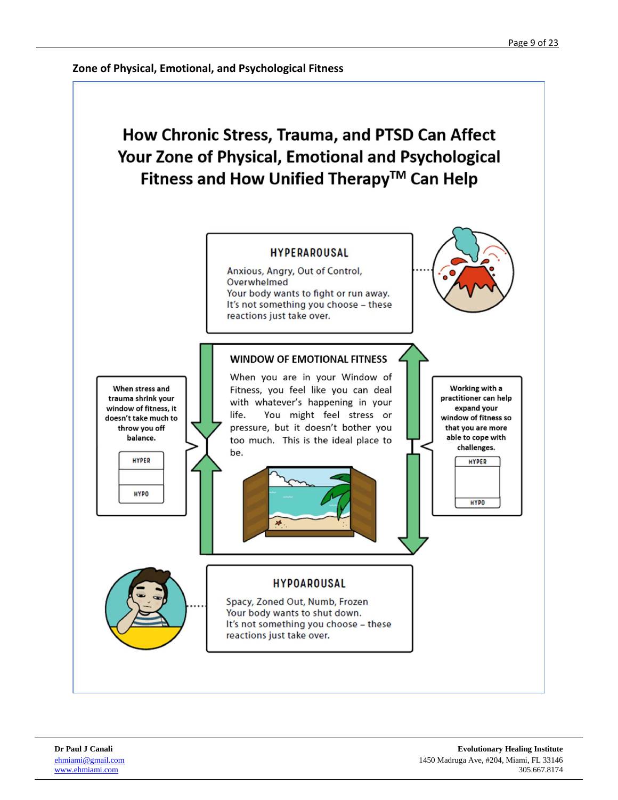<span id="page-8-0"></span>**Zone of Physical, Emotional, and Psychological Fitness**

## How Chronic Stress, Trauma, and PTSD Can Affect Your Zone of Physical, Emotional and Psychological Fitness and How Unified Therapy™ Can Help

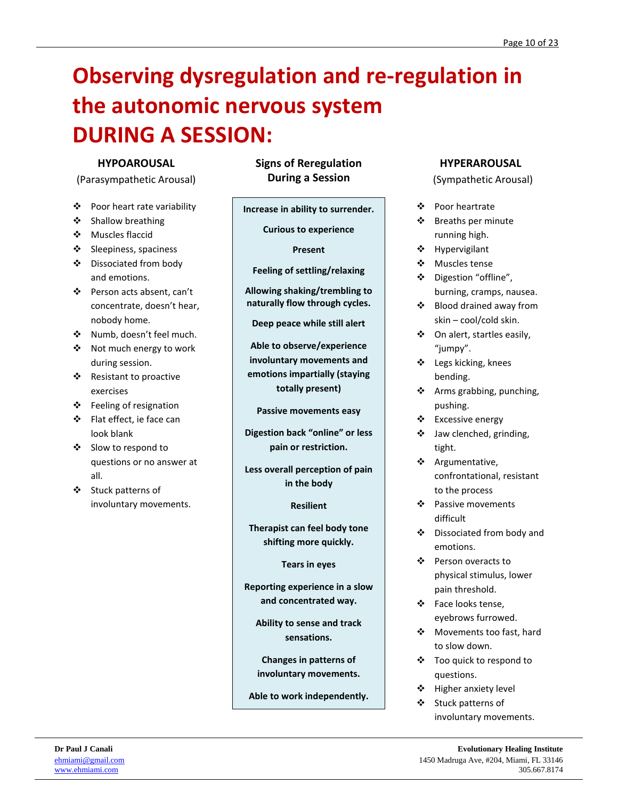# <span id="page-9-0"></span>**Observing dysregulation and re-regulation in the autonomic nervous system DURING A SESSION:**

#### **HYPOAROUSAL**

(Parasympathetic Arousal)

- ❖ Poor heart rate variability
- ❖ Shallow breathing
- ❖ Muscles flaccid
- ❖ Sleepiness, spaciness
- ❖ Dissociated from body and emotions.
- ❖ Person acts absent, can't concentrate, doesn't hear, nobody home.
- ❖ Numb, doesn't feel much.
- ❖ Not much energy to work during session.
- ❖ Resistant to proactive exercises
- ❖ Feeling of resignation
- ❖ Flat effect, ie face can look blank
- ❖ Slow to respond to questions or no answer at all.
- ❖ Stuck patterns of involuntary movements.

**Signs of Reregulation During a Session**

**Increase in ability to surrender.**

**Curious to experience**

#### **Present**

**Feeling of settling/relaxing**

**Allowing shaking/trembling to naturally flow through cycles.**

**Deep peace while still alert**

**Able to observe/experience involuntary movements and emotions impartially (staying totally present)**

**Passive movements easy**

**Digestion back "online" or less pain or restriction.**

**Less overall perception of pain in the body**

**Resilient**

**Therapist can feel body tone shifting more quickly.**

**Tears in eyes**

**Reporting experience in a slow and concentrated way.**

**Ability to sense and track sensations.**

**Changes in patterns of involuntary movements.**

**Able to work independently.**

#### **HYPERAROUSAL**

(Sympathetic Arousal)

- ❖ Poor heartrate
- ❖ Breaths per minute running high.
- ❖ Hypervigilant
- ❖ Muscles tense
- ❖ Digestion "offline", burning, cramps, nausea.
- ❖ Blood drained away from skin – cool/cold skin.
- ❖ On alert, startles easily, "jumpy".
- ❖ Legs kicking, knees bending.
- ❖ Arms grabbing, punching, pushing.
- ❖ Excessive energy
- ❖ Jaw clenched, grinding, tight.
- ❖ Argumentative, confrontational, resistant to the process
- ❖ Passive movements difficult
- ❖ Dissociated from body and emotions.
- ❖ Person overacts to physical stimulus, lower pain threshold.
- ❖ Face looks tense, eyebrows furrowed.
- ❖ Movements too fast, hard to slow down.
- ❖ Too quick to respond to questions.
- ❖ Higher anxiety level
- ❖ Stuck patterns of involuntary movements.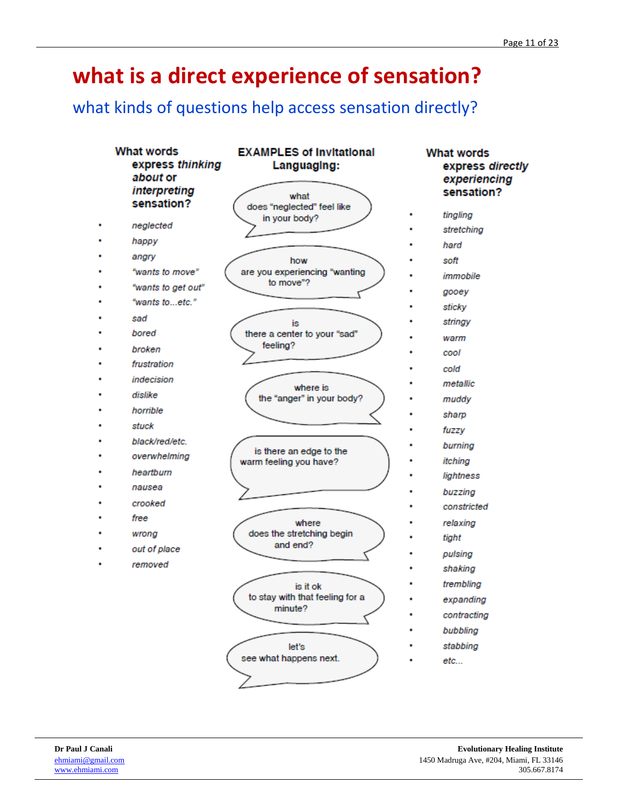# <span id="page-10-0"></span>**what is a direct experience of sensation?**

### what kinds of questions help access sensation directly?

| <b>What words</b><br>express thinking<br>about or<br>interpreting<br>sensation? | <b>EXAMPLES of Invitational</b><br>Languaging:<br>what<br>does "neglected" feel like | <b>What words</b><br>express directly<br>experiencing<br>sensation? |
|---------------------------------------------------------------------------------|--------------------------------------------------------------------------------------|---------------------------------------------------------------------|
|                                                                                 | in your body?                                                                        | tingling                                                            |
| neglected                                                                       |                                                                                      | stretching                                                          |
| happy                                                                           |                                                                                      | hard                                                                |
| angry                                                                           | how                                                                                  | soft                                                                |
| "wants to move"                                                                 | are you experiencing "wanting<br>to move"?                                           | immobile                                                            |
| "wants to get out"                                                              |                                                                                      | gooey                                                               |
| "wants toetc."                                                                  |                                                                                      | sticky                                                              |
| sad                                                                             | is                                                                                   | stringy                                                             |
| bored                                                                           | there a center to your "sad"                                                         | warm                                                                |
| broken                                                                          | feeling?                                                                             | cool                                                                |
| frustration                                                                     |                                                                                      | cold                                                                |
| indecision                                                                      | where is                                                                             | metallic                                                            |
| dislike                                                                         | the "anger" in your body?                                                            | muddy                                                               |
| horrible                                                                        |                                                                                      | sharp                                                               |
| stuck                                                                           |                                                                                      | fuzzy                                                               |
| black/red/etc.                                                                  |                                                                                      | burning                                                             |
| overwhelming                                                                    | is there an edge to the<br>warm feeling you have?                                    | itching                                                             |
| heartburn                                                                       |                                                                                      | lightness                                                           |
| nausea                                                                          |                                                                                      | buzzing                                                             |
| crooked                                                                         |                                                                                      | constricted                                                         |
| free                                                                            | where                                                                                | relaxing                                                            |
| wrong                                                                           | does the stretching begin                                                            | tight                                                               |
| out of place                                                                    | and end?                                                                             |                                                                     |
| removed                                                                         |                                                                                      | pulsing<br>shaking                                                  |
|                                                                                 |                                                                                      |                                                                     |
|                                                                                 | is it ok<br>to stay with that feeling for a                                          | trembling                                                           |
|                                                                                 | minute?                                                                              | expanding                                                           |
|                                                                                 |                                                                                      | contracting                                                         |
|                                                                                 |                                                                                      | bubbling                                                            |
|                                                                                 | let's<br>see what happens next.                                                      | stabbing                                                            |
|                                                                                 |                                                                                      | etc                                                                 |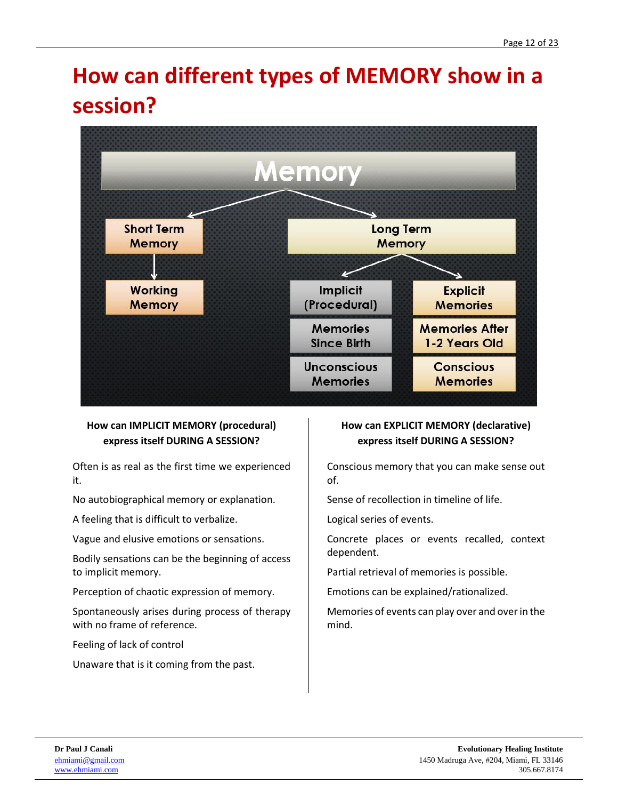# <span id="page-11-0"></span>**How can different types of MEMORY show in a session?**



#### **How can IMPLICIT MEMORY (procedural) express itself DURING A SESSION?**

Often is as real as the first time we experienced it.

No autobiographical memory or explanation.

A feeling that is difficult to verbalize.

Vague and elusive emotions or sensations.

Bodily sensations can be the beginning of access to implicit memory.

Perception of chaotic expression of memory.

Spontaneously arises during process of therapy with no frame of reference.

Feeling of lack of control

Unaware that is it coming from the past.

#### **How can EXPLICIT MEMORY (declarative) express itself DURING A SESSION?**

Conscious memory that you can make sense out of.

Sense of recollection in timeline of life.

Logical series of events.

Concrete places or events recalled, context dependent.

Partial retrieval of memories is possible.

Emotions can be explained/rationalized.

Memories of events can play over and over in the mind.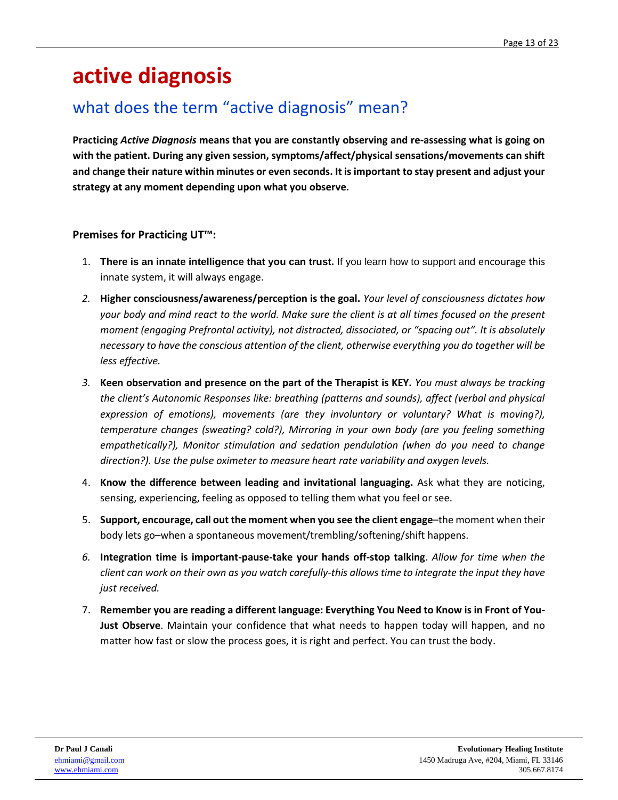# <span id="page-12-0"></span>**active diagnosis**

### what does the term "active diagnosis" mean?

**Practicing** *Active Diagnosis* **means that you are constantly observing and re-assessing what is going on with the patient. During any given session, symptoms/affect/physical sensations/movements can shift and change their nature within minutes or even seconds. It is important to stay present and adjust your strategy at any moment depending upon what you observe.**

#### **Premises for Practicing UT™:**

- 1. **There is an innate intelligence that you can trust.** If you learn how to support and encourage this innate system, it will always engage.
- *2.* **Higher consciousness/awareness/perception is the goal.** *Your level of consciousness dictates how your body and mind react to the world. Make sure the client is at all times focused on the present moment (engaging Prefrontal activity), not distracted, dissociated, or "spacing out". It is absolutely necessary to have the conscious attention of the client, otherwise everything you do together will be less effective.*
- *3.* **Keen observation and presence on the part of the Therapist is KEY.** *You must always be tracking the client's Autonomic Responses like: breathing (patterns and sounds), affect (verbal and physical expression of emotions), movements (are they involuntary or voluntary? What is moving?), temperature changes (sweating? cold?), Mirroring in your own body (are you feeling something empathetically?), Monitor stimulation and sedation pendulation (when do you need to change direction?). Use the pulse oximeter to measure heart rate variability and oxygen levels.*
- 4. **Know the difference between leading and invitational languaging.** Ask what they are noticing, sensing, experiencing, feeling as opposed to telling them what you feel or see.
- 5. **Support, encourage, call out the moment when you see the client engage**–the moment when their body lets go–when a spontaneous movement/trembling/softening/shift happens.
- *6.* **Integration time is important-pause-take your hands off-stop talking**. *Allow for time when the client can work on their own as you watch carefully-this allows time to integrate the input they have just received.*
- 7. **Remember you are reading a different language: Everything You Need to Know is in Front of You-Just Observe**. Maintain your confidence that what needs to happen today will happen, and no matter how fast or slow the process goes, it is right and perfect. You can trust the body.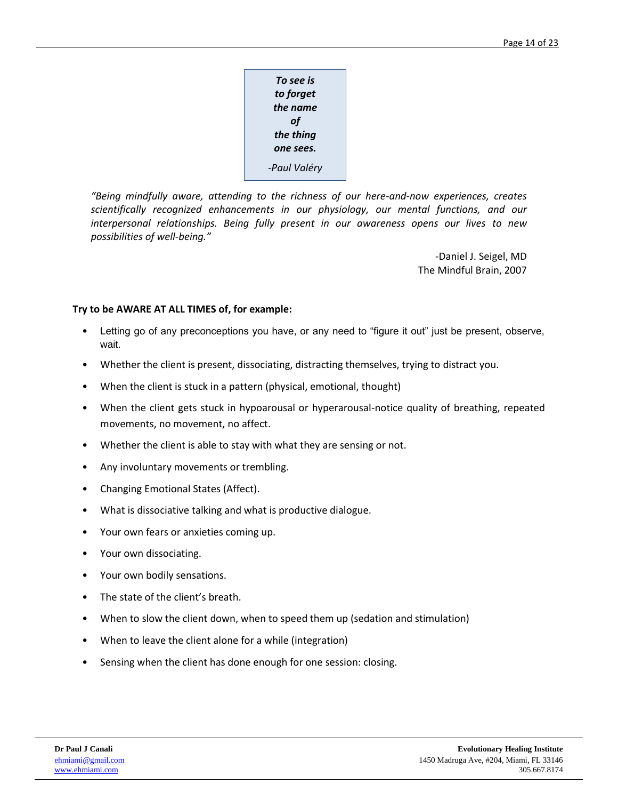| To see is    |
|--------------|
| to forget    |
| the name     |
| οf           |
| the thing    |
| one sees.    |
| -Paul Valéry |

*"Being mindfully aware, attending to the richness of our here-and-now experiences, creates scientifically recognized enhancements in our physiology, our mental functions, and our interpersonal relationships. Being fully present in our awareness opens our lives to new possibilities of well-being."*

> -Daniel J. Seigel, MD The Mindful Brain, 2007

#### **Try to be AWARE AT ALL TIMES of, for example:**

- Letting go of any preconceptions you have, or any need to "figure it out" just be present, observe, wait.
- Whether the client is present, dissociating, distracting themselves, trying to distract you.
- When the client is stuck in a pattern (physical, emotional, thought)
- When the client gets stuck in hypoarousal or hyperarousal-notice quality of breathing, repeated movements, no movement, no affect.
- Whether the client is able to stay with what they are sensing or not.
- Any involuntary movements or trembling.
- Changing Emotional States (Affect).
- What is dissociative talking and what is productive dialogue.
- Your own fears or anxieties coming up.
- Your own dissociating.
- Your own bodily sensations.
- The state of the client's breath.
- When to slow the client down, when to speed them up (sedation and stimulation)
- When to leave the client alone for a while (integration)
- Sensing when the client has done enough for one session: closing.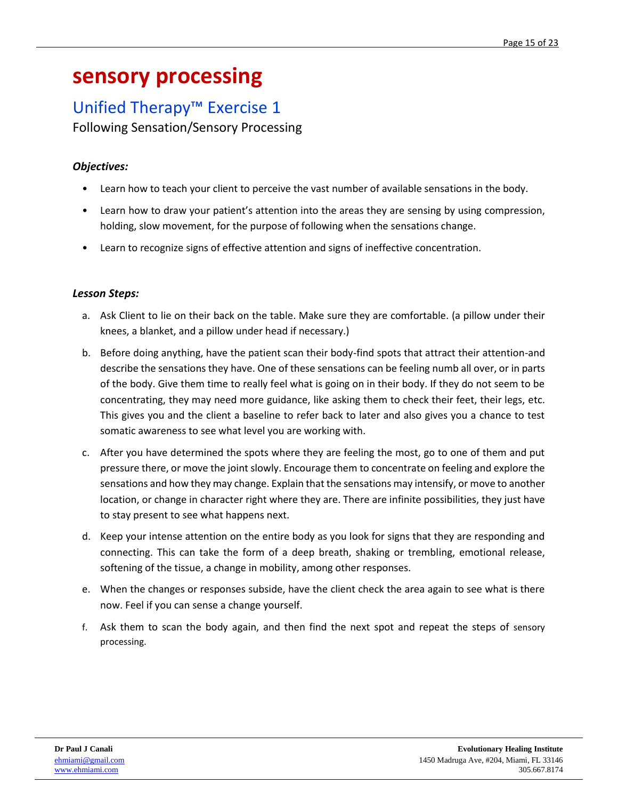## <span id="page-14-0"></span>**sensory processing**

## Unified Therapy™ Exercise 1

Following Sensation/Sensory Processing

### *Objectives:*

- Learn how to teach your client to perceive the vast number of available sensations in the body.
- Learn how to draw your patient's attention into the areas they are sensing by using compression, holding, slow movement, for the purpose of following when the sensations change.
- Learn to recognize signs of effective attention and signs of ineffective concentration.

#### *Lesson Steps:*

- a. Ask Client to lie on their back on the table. Make sure they are comfortable. (a pillow under their knees, a blanket, and a pillow under head if necessary.)
- b. Before doing anything, have the patient scan their body-find spots that attract their attention-and describe the sensations they have. One of these sensations can be feeling numb all over, or in parts of the body. Give them time to really feel what is going on in their body. If they do not seem to be concentrating, they may need more guidance, like asking them to check their feet, their legs, etc. This gives you and the client a baseline to refer back to later and also gives you a chance to test somatic awareness to see what level you are working with.
- c. After you have determined the spots where they are feeling the most, go to one of them and put pressure there, or move the joint slowly. Encourage them to concentrate on feeling and explore the sensations and how they may change. Explain that the sensations may intensify, or move to another location, or change in character right where they are. There are infinite possibilities, they just have to stay present to see what happens next.
- d. Keep your intense attention on the entire body as you look for signs that they are responding and connecting. This can take the form of a deep breath, shaking or trembling, emotional release, softening of the tissue, a change in mobility, among other responses.
- e. When the changes or responses subside, have the client check the area again to see what is there now. Feel if you can sense a change yourself.
- f. Ask them to scan the body again, and then find the next spot and repeat the steps of sensory processing.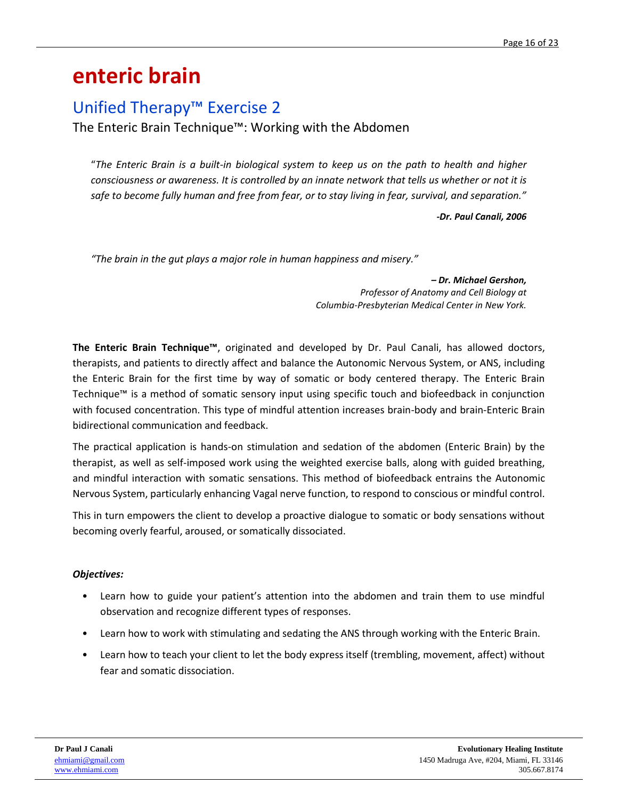## <span id="page-15-0"></span>**enteric brain**

### Unified Therapy™ Exercise 2

The Enteric Brain Technique™: Working with the Abdomen

"*The Enteric Brain is a built-in biological system to keep us on the path to health and higher consciousness or awareness. It is controlled by an innate network that tells us whether or not it is safe to become fully human and free from fear, or to stay living in fear, survival, and separation."*

*-Dr. Paul Canali, 2006*

*"The brain in the gut plays a major role in human happiness and misery."*

*– Dr. Michael Gershon, Professor of Anatomy and Cell Biology at Columbia-Presbyterian Medical Center in New York.*

**The Enteric Brain Technique™**, originated and developed by Dr. Paul Canali, has allowed doctors, therapists, and patients to directly affect and balance the Autonomic Nervous System, or ANS, including the Enteric Brain for the first time by way of somatic or body centered therapy. The Enteric Brain Technique™ is a method of somatic sensory input using specific touch and biofeedback in conjunction with focused concentration. This type of mindful attention increases brain-body and brain-Enteric Brain bidirectional communication and feedback.

The practical application is hands-on stimulation and sedation of the abdomen (Enteric Brain) by the therapist, as well as self-imposed work using the weighted exercise balls, along with guided breathing, and mindful interaction with somatic sensations. This method of biofeedback entrains the Autonomic Nervous System, particularly enhancing Vagal nerve function, to respond to conscious or mindful control.

This in turn empowers the client to develop a proactive dialogue to somatic or body sensations without becoming overly fearful, aroused, or somatically dissociated.

#### *Objectives:*

- Learn how to guide your patient's attention into the abdomen and train them to use mindful observation and recognize different types of responses.
- Learn how to work with stimulating and sedating the ANS through working with the Enteric Brain.
- Learn how to teach your client to let the body express itself (trembling, movement, affect) without fear and somatic dissociation.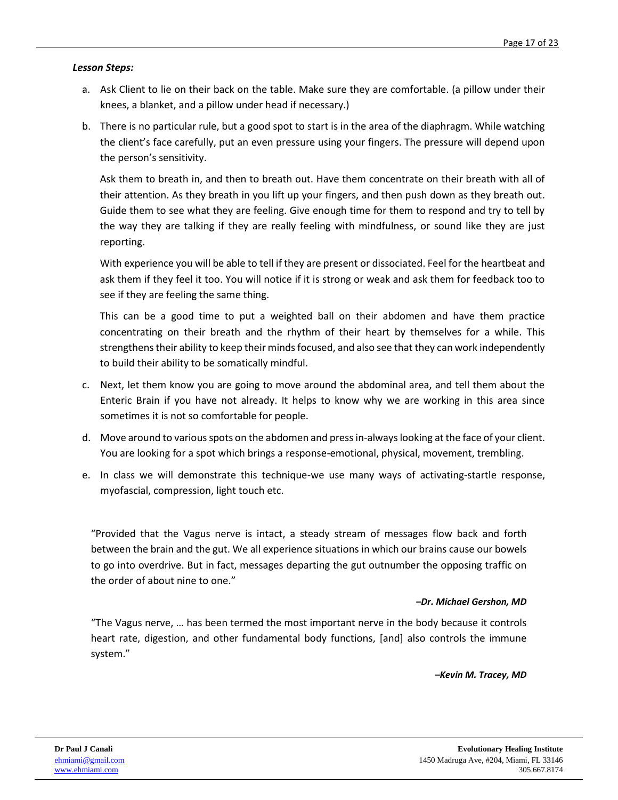#### *Lesson Steps:*

- a. Ask Client to lie on their back on the table. Make sure they are comfortable. (a pillow under their knees, a blanket, and a pillow under head if necessary.)
- b. There is no particular rule, but a good spot to start is in the area of the diaphragm. While watching the client's face carefully, put an even pressure using your fingers. The pressure will depend upon the person's sensitivity.

Ask them to breath in, and then to breath out. Have them concentrate on their breath with all of their attention. As they breath in you lift up your fingers, and then push down as they breath out. Guide them to see what they are feeling. Give enough time for them to respond and try to tell by the way they are talking if they are really feeling with mindfulness, or sound like they are just reporting.

With experience you will be able to tell if they are present or dissociated. Feel for the heartbeat and ask them if they feel it too. You will notice if it is strong or weak and ask them for feedback too to see if they are feeling the same thing.

This can be a good time to put a weighted ball on their abdomen and have them practice concentrating on their breath and the rhythm of their heart by themselves for a while. This strengthens their ability to keep their minds focused, and also see that they can work independently to build their ability to be somatically mindful.

- c. Next, let them know you are going to move around the abdominal area, and tell them about the Enteric Brain if you have not already. It helps to know why we are working in this area since sometimes it is not so comfortable for people.
- d. Move around to various spots on the abdomen and press in-always looking at the face of your client. You are looking for a spot which brings a response-emotional, physical, movement, trembling.
- e. In class we will demonstrate this technique-we use many ways of activating-startle response, myofascial, compression, light touch etc.

"Provided that the Vagus nerve is intact, a steady stream of messages flow back and forth between the brain and the gut. We all experience situations in which our brains cause our bowels to go into overdrive. But in fact, messages departing the gut outnumber the opposing traffic on the order of about nine to one."

#### *–Dr. Michael Gershon, MD*

"The Vagus nerve, … has been termed the most important nerve in the body because it controls heart rate, digestion, and other fundamental body functions, [and] also controls the immune system."

*–Kevin M. Tracey, MD*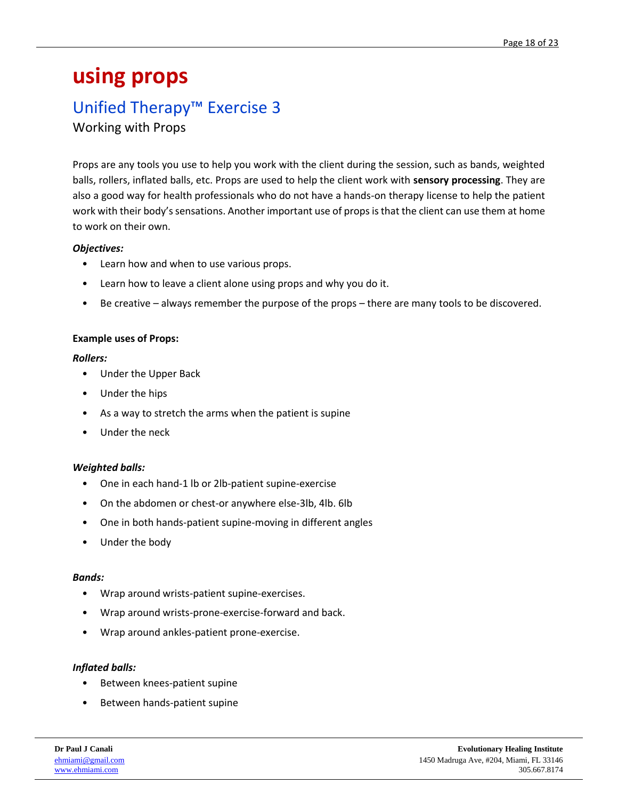## <span id="page-17-0"></span>**using props**

### Unified Therapy™ Exercise 3

Working with Props

Props are any tools you use to help you work with the client during the session, such as bands, weighted balls, rollers, inflated balls, etc. Props are used to help the client work with **sensory processing**. They are also a good way for health professionals who do not have a hands-on therapy license to help the patient work with their body's sensations. Another important use of props is that the client can use them at home to work on their own.

#### *Objectives:*

- Learn how and when to use various props.
- Learn how to leave a client alone using props and why you do it.
- Be creative always remember the purpose of the props there are many tools to be discovered.

#### **Example uses of Props:**

#### *Rollers:*

- Under the Upper Back
- Under the hips
- As a way to stretch the arms when the patient is supine
- Under the neck

#### *Weighted balls:*

- One in each hand-1 lb or 2lb-patient supine-exercise
- On the abdomen or chest-or anywhere else-3lb, 4lb. 6lb
- One in both hands-patient supine-moving in different angles
- Under the body

#### *Bands:*

- Wrap around wrists-patient supine-exercises.
- Wrap around wrists-prone-exercise-forward and back.
- Wrap around ankles-patient prone-exercise.

#### *Inflated balls:*

- Between knees-patient supine
- Between hands-patient supine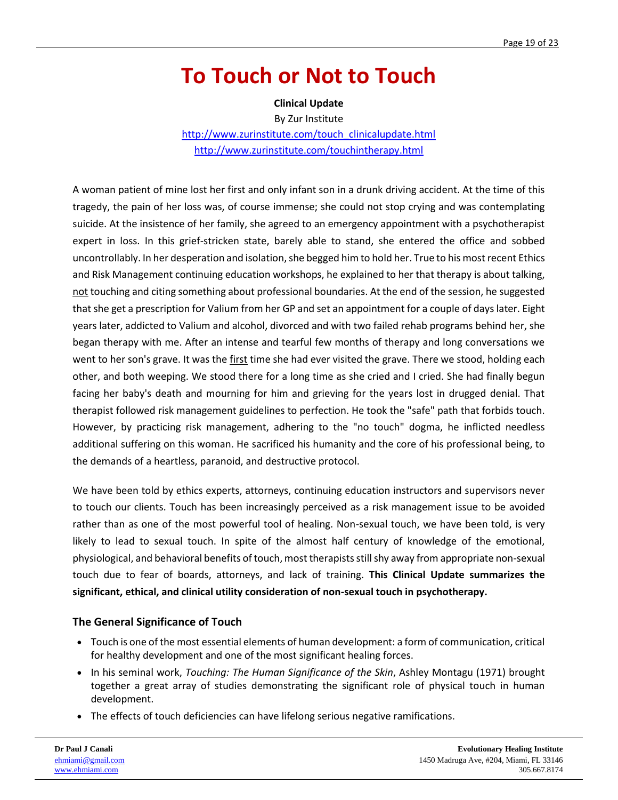## <span id="page-18-0"></span>**To Touch or Not to Touch**

**Clinical Update**

By Zur Institute

[http://www.zurinstitute.com/touch\\_clinicalupdate.html](http://www.zurinstitute.com/touch_clinicalupdate.html) <http://www.zurinstitute.com/touchintherapy.html>

A woman patient of mine lost her first and only infant son in a drunk driving accident. At the time of this tragedy, the pain of her loss was, of course immense; she could not stop crying and was contemplating suicide. At the insistence of her family, she agreed to an emergency appointment with a psychotherapist expert in loss. In this grief-stricken state, barely able to stand, she entered the office and sobbed uncontrollably. In her desperation and isolation, she begged him to hold her. True to his most recent Ethics and Risk Management continuing education workshops, he explained to her that therapy is about talking, not touching and citing something about professional boundaries. At the end of the session, he suggested that she get a prescription for Valium from her GP and set an appointment for a couple of days later. Eight years later, addicted to Valium and alcohol, divorced and with two failed rehab programs behind her, she began therapy with me. After an intense and tearful few months of therapy and long conversations we went to her son's grave. It was the first time she had ever visited the grave. There we stood, holding each other, and both weeping. We stood there for a long time as she cried and I cried. She had finally begun facing her baby's death and mourning for him and grieving for the years lost in drugged denial. That therapist followed risk management guidelines to perfection. He took the "safe" path that forbids touch. However, by practicing risk management, adhering to the "no touch" dogma, he inflicted needless additional suffering on this woman. He sacrificed his humanity and the core of his professional being, to the demands of a heartless, paranoid, and destructive protocol.

We have been told by ethics experts, attorneys, continuing education instructors and supervisors never to touch our clients. Touch has been increasingly perceived as a risk management issue to be avoided rather than as one of the most powerful tool of healing. Non-sexual touch, we have been told, is very likely to lead to sexual touch. In spite of the almost half century of knowledge of the emotional, physiological, and behavioral benefits of touch, most therapists still shy away from appropriate non-sexual touch due to fear of boards, attorneys, and lack of training. **This Clinical Update summarizes the significant, ethical, and clinical utility consideration of non-sexual touch in psychotherapy.**

#### **The General Significance of Touch**

- Touch is one of the most essential elements of human development: a form of communication, critical for healthy development and one of the most significant healing forces.
- In his seminal work, *Touching: The Human Significance of the Skin*, Ashley Montagu (1971) brought together a great array of studies demonstrating the significant role of physical touch in human development.
- The effects of touch deficiencies can have lifelong serious negative ramifications.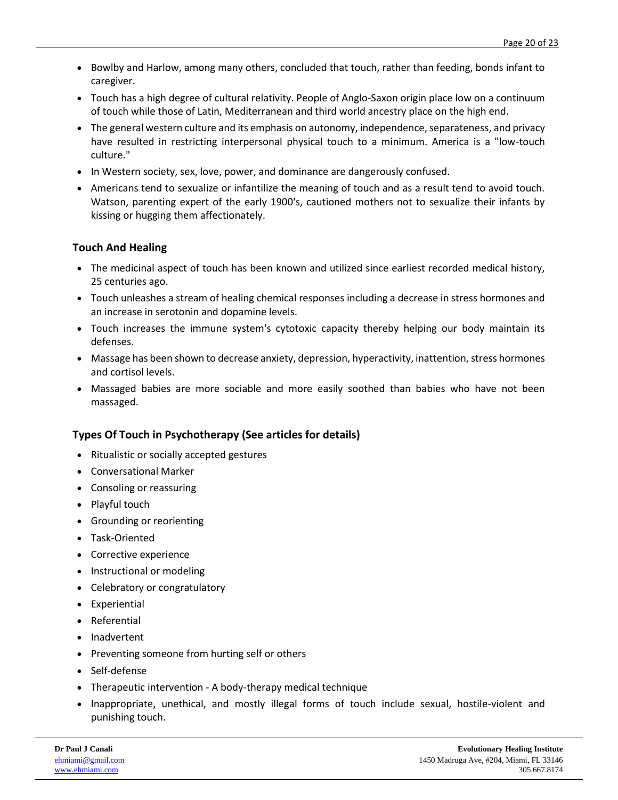- Bowlby and Harlow, among many others, concluded that touch, rather than feeding, bonds infant to caregiver.
- Touch has a high degree of cultural relativity. People of Anglo-Saxon origin place low on a continuum of touch while those of Latin, Mediterranean and third world ancestry place on the high end.
- The general western culture and its emphasis on autonomy, independence, separateness, and privacy have resulted in restricting interpersonal physical touch to a minimum. America is a "low-touch culture."
- In Western society, sex, love, power, and dominance are dangerously confused.
- Americans tend to sexualize or infantilize the meaning of touch and as a result tend to avoid touch. Watson, parenting expert of the early 1900's, cautioned mothers not to sexualize their infants by kissing or hugging them affectionately.

#### **Touch And Healing**

- The medicinal aspect of touch has been known and utilized since earliest recorded medical history, 25 centuries ago.
- Touch unleashes a stream of healing chemical responses including a decrease in stress hormones and an increase in serotonin and dopamine levels.
- Touch increases the immune system's cytotoxic capacity thereby helping our body maintain its defenses.
- Massage has been shown to decrease anxiety, depression, hyperactivity, inattention, stress hormones and cortisol levels.
- Massaged babies are more sociable and more easily soothed than babies who have not been massaged.

#### **Types Of Touch in Psychotherapy (See articles for details)**

- Ritualistic or socially accepted gestures
- Conversational Marker
- Consoling or reassuring
- Playful touch
- Grounding or reorienting
- Task-Oriented
- Corrective experience
- Instructional or modeling
- Celebratory or congratulatory
- Experiential
- Referential
- Inadvertent
- Preventing someone from hurting self or others
- Self-defense
- Therapeutic intervention A body-therapy medical technique
- Inappropriate, unethical, and mostly illegal forms of touch include sexual, hostile-violent and punishing touch.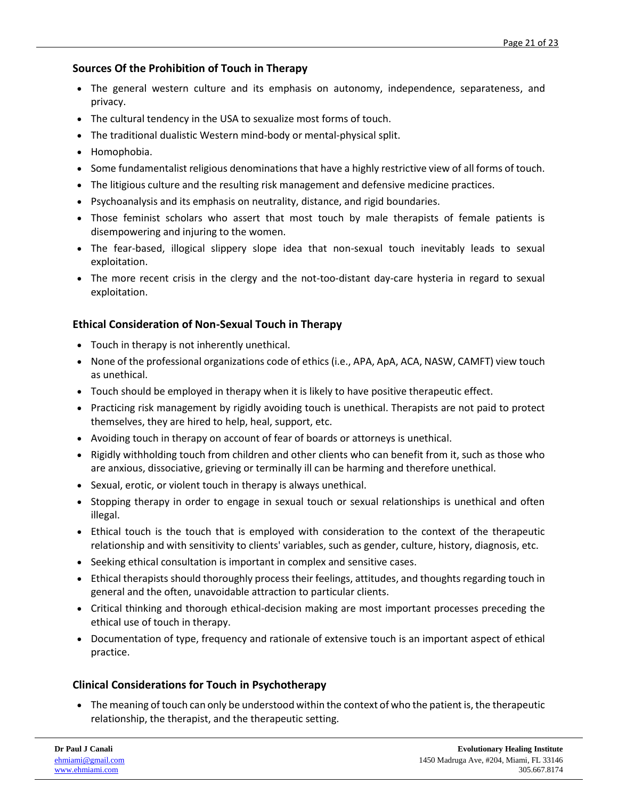#### **Sources Of the Prohibition of Touch in Therapy**

- The general western culture and its emphasis on autonomy, independence, separateness, and privacy.
- The cultural tendency in the USA to sexualize most forms of touch.
- The traditional dualistic Western mind-body or mental-physical split.
- Homophobia.
- Some fundamentalist religious denominations that have a highly restrictive view of all forms of touch.
- The litigious culture and the resulting risk management and defensive medicine practices.
- Psychoanalysis and its emphasis on neutrality, distance, and rigid boundaries.
- Those feminist scholars who assert that most touch by male therapists of female patients is disempowering and injuring to the women.
- The fear-based, illogical slippery slope idea that non-sexual touch inevitably leads to sexual exploitation.
- The more recent crisis in the clergy and the not-too-distant day-care hysteria in regard to sexual exploitation.

#### **Ethical Consideration of Non-Sexual Touch in Therapy**

- Touch in therapy is not inherently unethical.
- None of the professional organizations code of ethics (i.e., APA, ApA, ACA, NASW, CAMFT) view touch as unethical.
- Touch should be employed in therapy when it is likely to have positive therapeutic effect.
- Practicing risk management by rigidly avoiding touch is unethical. Therapists are not paid to protect themselves, they are hired to help, heal, support, etc.
- Avoiding touch in therapy on account of fear of boards or attorneys is unethical.
- Rigidly withholding touch from children and other clients who can benefit from it, such as those who are anxious, dissociative, grieving or terminally ill can be harming and therefore unethical.
- Sexual, erotic, or violent touch in therapy is always unethical.
- Stopping therapy in order to engage in sexual touch or sexual relationships is unethical and often illegal.
- Ethical touch is the touch that is employed with consideration to the context of the therapeutic relationship and with sensitivity to clients' variables, such as gender, culture, history, diagnosis, etc.
- Seeking ethical consultation is important in complex and sensitive cases.
- Ethical therapists should thoroughly process their feelings, attitudes, and thoughts regarding touch in general and the often, unavoidable attraction to particular clients.
- Critical thinking and thorough ethical-decision making are most important processes preceding the ethical use of touch in therapy.
- Documentation of type, frequency and rationale of extensive touch is an important aspect of ethical practice.

#### **Clinical Considerations for Touch in Psychotherapy**

• The meaning of touch can only be understood within the context of who the patient is, the therapeutic relationship, the therapist, and the therapeutic setting.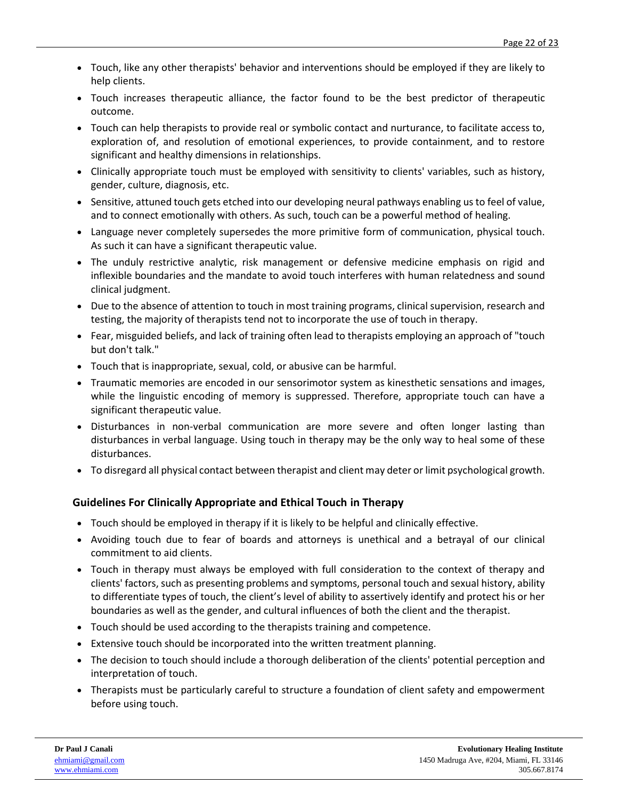- Touch, like any other therapists' behavior and interventions should be employed if they are likely to help clients.
- Touch increases therapeutic alliance, the factor found to be the best predictor of therapeutic outcome.
- Touch can help therapists to provide real or symbolic contact and nurturance, to facilitate access to, exploration of, and resolution of emotional experiences, to provide containment, and to restore significant and healthy dimensions in relationships.
- Clinically appropriate touch must be employed with sensitivity to clients' variables, such as history, gender, culture, diagnosis, etc.
- Sensitive, attuned touch gets etched into our developing neural pathways enabling us to feel of value, and to connect emotionally with others. As such, touch can be a powerful method of healing.
- Language never completely supersedes the more primitive form of communication, physical touch. As such it can have a significant therapeutic value.
- The unduly restrictive analytic, risk management or defensive medicine emphasis on rigid and inflexible boundaries and the mandate to avoid touch interferes with human relatedness and sound clinical judgment.
- Due to the absence of attention to touch in most training programs, clinical supervision, research and testing, the majority of therapists tend not to incorporate the use of touch in therapy.
- Fear, misguided beliefs, and lack of training often lead to therapists employing an approach of "touch but don't talk."
- Touch that is inappropriate, sexual, cold, or abusive can be harmful.
- Traumatic memories are encoded in our sensorimotor system as kinesthetic sensations and images, while the linguistic encoding of memory is suppressed. Therefore, appropriate touch can have a significant therapeutic value.
- Disturbances in non-verbal communication are more severe and often longer lasting than disturbances in verbal language. Using touch in therapy may be the only way to heal some of these disturbances.
- To disregard all physical contact between therapist and client may deter or limit psychological growth.

#### **Guidelines For Clinically Appropriate and Ethical Touch in Therapy**

- Touch should be employed in therapy if it is likely to be helpful and clinically effective.
- Avoiding touch due to fear of boards and attorneys is unethical and a betrayal of our clinical commitment to aid clients.
- Touch in therapy must always be employed with full consideration to the context of therapy and clients' factors, such as presenting problems and symptoms, personal touch and sexual history, ability to differentiate types of touch, the client's level of ability to assertively identify and protect his or her boundaries as well as the gender, and cultural influences of both the client and the therapist.
- Touch should be used according to the therapists training and competence.
- Extensive touch should be incorporated into the written treatment planning.
- The decision to touch should include a thorough deliberation of the clients' potential perception and interpretation of touch.
- Therapists must be particularly careful to structure a foundation of client safety and empowerment before using touch.